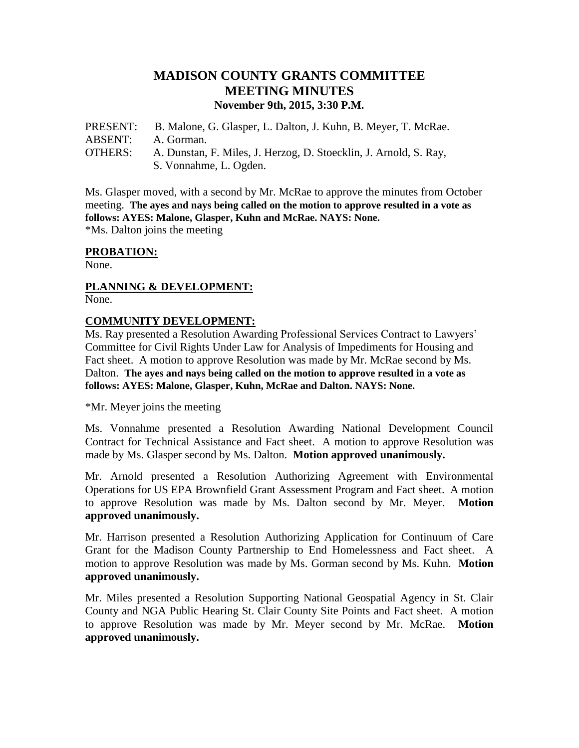# **MADISON COUNTY GRANTS COMMITTEE MEETING MINUTES November 9th, 2015, 3:30 P.M.**

PRESENT: B. Malone, G. Glasper, L. Dalton, J. Kuhn, B. Meyer, T. McRae. ABSENT: A. Gorman. OTHERS: A. Dunstan, F. Miles, J. Herzog, D. Stoecklin, J. Arnold, S. Ray, S. Vonnahme, L. Ogden.

Ms. Glasper moved, with a second by Mr. McRae to approve the minutes from October meeting. **The ayes and nays being called on the motion to approve resulted in a vote as follows: AYES: Malone, Glasper, Kuhn and McRae. NAYS: None.**

\*Ms. Dalton joins the meeting

### **PROBATION:**

None.

#### **PLANNING & DEVELOPMENT:**  None.

#### **COMMUNITY DEVELOPMENT:**

Ms. Ray presented a Resolution Awarding Professional Services Contract to Lawyers' Committee for Civil Rights Under Law for Analysis of Impediments for Housing and Fact sheet. A motion to approve Resolution was made by Mr. McRae second by Ms. Dalton. **The ayes and nays being called on the motion to approve resulted in a vote as follows: AYES: Malone, Glasper, Kuhn, McRae and Dalton. NAYS: None.**

\*Mr. Meyer joins the meeting

Ms. Vonnahme presented a Resolution Awarding National Development Council Contract for Technical Assistance and Fact sheet. A motion to approve Resolution was made by Ms. Glasper second by Ms. Dalton. **Motion approved unanimously.**

Mr. Arnold presented a Resolution Authorizing Agreement with Environmental Operations for US EPA Brownfield Grant Assessment Program and Fact sheet. A motion to approve Resolution was made by Ms. Dalton second by Mr. Meyer. **Motion approved unanimously.**

Mr. Harrison presented a Resolution Authorizing Application for Continuum of Care Grant for the Madison County Partnership to End Homelessness and Fact sheet. A motion to approve Resolution was made by Ms. Gorman second by Ms. Kuhn. **Motion approved unanimously.**

Mr. Miles presented a Resolution Supporting National Geospatial Agency in St. Clair County and NGA Public Hearing St. Clair County Site Points and Fact sheet. A motion to approve Resolution was made by Mr. Meyer second by Mr. McRae. **Motion approved unanimously.**